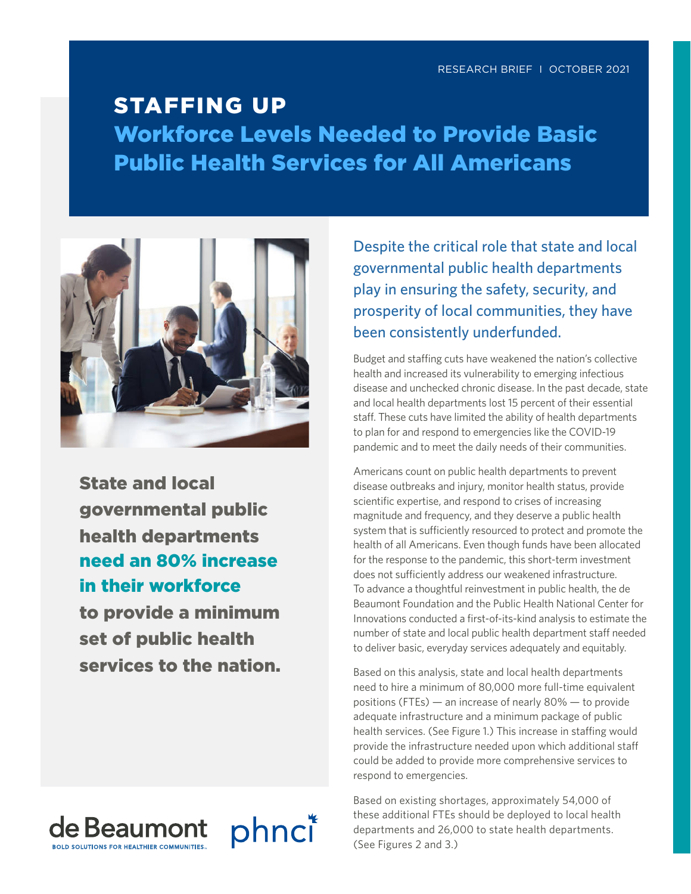# STAFFING UP Workforce Levels Needed to Provide Basic Public Health Services for All Americans



State and local governmental public health departments need an 80% increase in their workforce to provide a minimum set of public health services to the nation.



Despite the critical role that state and local governmental public health departments play in ensuring the safety, security, and prosperity of local communities, they have been consistently underfunded.

Budget and staffing cuts have weakened the nation's collective health and increased its vulnerability to emerging infectious disease and unchecked chronic disease. In the past decade, state and local health departments lost 15 percent of their essential staff. These cuts have limited the ability of health departments to plan for and respond to emergencies like the COVID-19 pandemic and to meet the daily needs of their communities.

Americans count on public health departments to prevent disease outbreaks and injury, monitor health status, provide scientific expertise, and respond to crises of increasing magnitude and frequency, and they deserve a public health system that is sufficiently resourced to protect and promote the health of all Americans. Even though funds have been allocated for the response to the pandemic, this short-term investment does not sufficiently address our weakened infrastructure. To advance a thoughtful reinvestment in public health, the de Beaumont Foundation and the Public Health National Center for Innovations conducted a first-of-its-kind analysis to estimate the number of state and local public health department staff needed to deliver basic, everyday services adequately and equitably.

Based on this analysis, state and local health departments need to hire a minimum of 80,000 more full-time equivalent positions (FTEs) — an increase of nearly 80% — to provide adequate infrastructure and a minimum package of public health services. (See Figure 1.) This increase in staffing would provide the infrastructure needed upon which additional staff could be added to provide more comprehensive services to respond to emergencies.

Based on existing shortages, approximately 54,000 of these additional FTEs should be deployed to local health departments and 26,000 to state health departments. (See Figures 2 and 3.)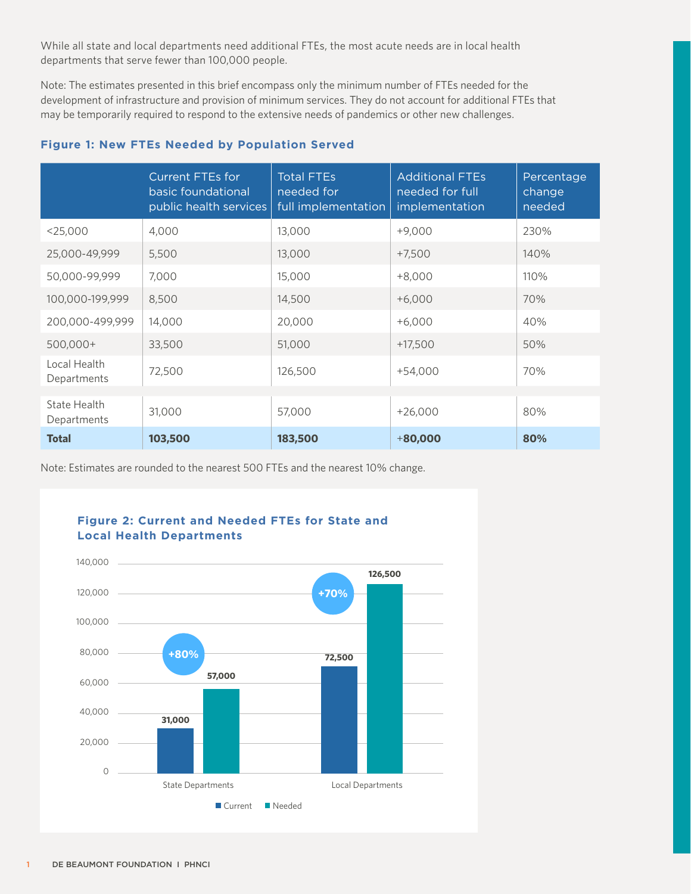While all state and local departments need additional FTEs, the most acute needs are in local health departments that serve fewer than 100,000 people.

Note: The estimates presented in this brief encompass only the minimum number of FTEs needed for the development of infrastructure and provision of minimum services. They do not account for additional FTEs that may be temporarily required to respond to the extensive needs of pandemics or other new challenges.

# **Figure 1: New FTEs Needed by Population Served**

|                             | <b>Current FTEs for</b><br>basic foundational<br>public health services | <b>Total FTEs</b><br>needed for<br>full implementation | <b>Additional FTEs</b><br>needed for full<br>implementation | Percentage<br>change<br>needed |
|-----------------------------|-------------------------------------------------------------------------|--------------------------------------------------------|-------------------------------------------------------------|--------------------------------|
| $<$ 25,000                  | 4,000                                                                   | 13,000                                                 | $+9,000$                                                    | 230%                           |
| 25,000-49,999               | 5,500                                                                   | 13,000                                                 | $+7,500$                                                    | 140%                           |
| 50,000-99,999               | 7,000                                                                   | 15,000                                                 | $+8,000$                                                    | 110%                           |
| 100,000-199,999             | 8,500                                                                   | 14,500                                                 | $+6,000$                                                    | 70%                            |
| 200,000-499,999             | 14,000                                                                  | 20,000                                                 | $+6,000$                                                    | 40%                            |
| 500,000+                    | 33,500                                                                  | 51,000                                                 | $+17,500$                                                   | 50%                            |
| Local Health<br>Departments | 72,500                                                                  | 126,500                                                | $+54,000$                                                   | 70%                            |
| State Health                |                                                                         |                                                        |                                                             |                                |
| Departments                 | 31,000                                                                  | 57,000                                                 | $+26,000$                                                   | 80%                            |
| <b>Total</b>                | 103,500                                                                 | 183,500                                                | $+80,000$                                                   | 80%                            |

Note: Estimates are rounded to the nearest 500 FTEs and the nearest 10% change.

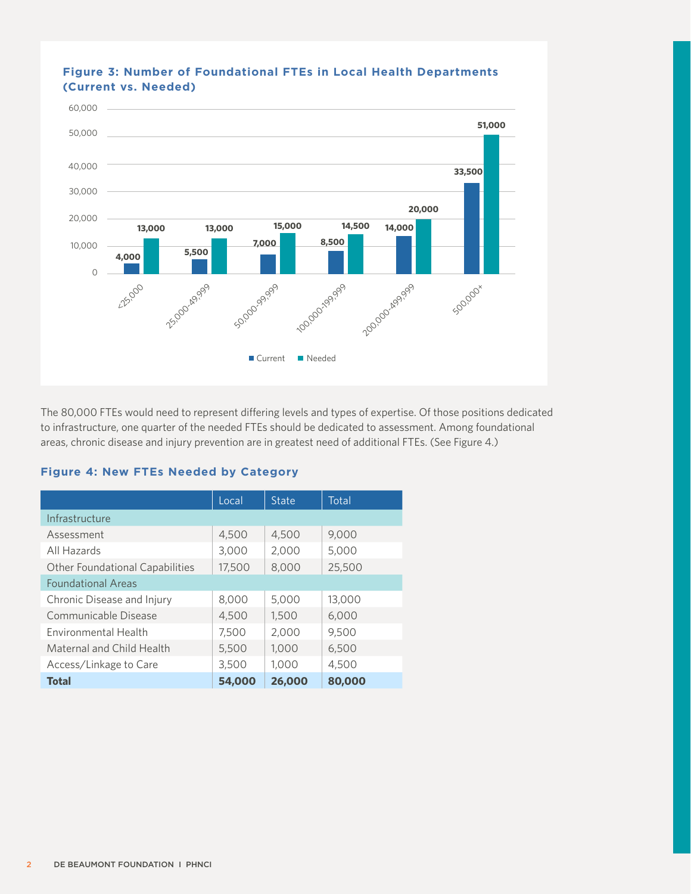

# **Figure 3: Number of Foundational FTEs in Local Health Departments (Current vs. Needed)**

The 80,000 FTEs would need to represent differing levels and types of expertise. Of those positions dedicated to infrastructure, one quarter of the needed FTEs should be dedicated to assessment. Among foundational areas, chronic disease and injury prevention are in greatest need of additional FTEs. (See Figure 4.)

#### **Figure 4: New FTEs Needed by Category**

|                                        | Local  | <b>State</b> | Total  |  |  |
|----------------------------------------|--------|--------------|--------|--|--|
| Infrastructure                         |        |              |        |  |  |
| Assessment                             | 4,500  | 4,500        | 9,000  |  |  |
| All Hazards                            | 3,000  | 2,000        | 5,000  |  |  |
| <b>Other Foundational Capabilities</b> | 17,500 | 8,000        | 25,500 |  |  |
| <b>Foundational Areas</b>              |        |              |        |  |  |
| Chronic Disease and Injury             | 8,000  | 5,000        | 13,000 |  |  |
| Communicable Disease                   | 4,500  | 1,500        | 6,000  |  |  |
| <b>Fnvironmental Health</b>            | 7,500  | 2,000        | 9,500  |  |  |
| Maternal and Child Health              | 5,500  | 1,000        | 6,500  |  |  |
| Access/Linkage to Care                 | 3,500  | 1,000        | 4,500  |  |  |
| <b>Total</b>                           | 54,000 | 26,000       | 80,000 |  |  |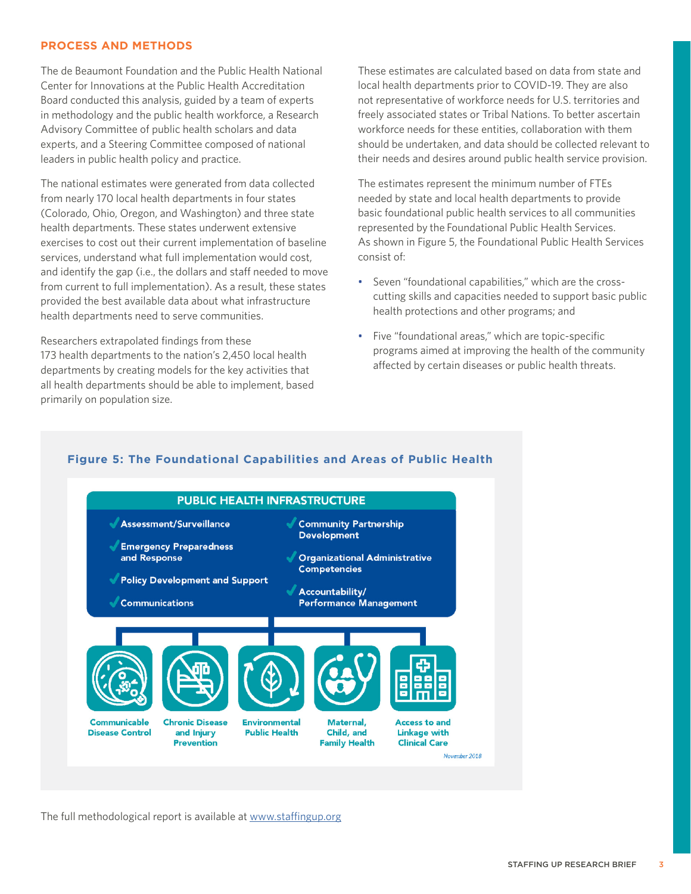### **PROCESS AND METHODS**

The de Beaumont Foundation and the Public Health National Center for Innovations at the Public Health Accreditation Board conducted this analysis, guided by a team of experts in methodology and the public health workforce, a Research Advisory Committee of public health scholars and data experts, and a Steering Committee composed of national leaders in public health policy and practice.

The national estimates were generated from data collected from nearly 170 local health departments in four states (Colorado, Ohio, Oregon, and Washington) and three state health departments. These states underwent extensive exercises to cost out their current implementation of baseline services, understand what full implementation would cost, and identify the gap (i.e., the dollars and staff needed to move from current to full implementation). As a result, these states provided the best available data about what infrastructure health departments need to serve communities.

Researchers extrapolated findings from these 173 health departments to the nation's 2,450 local health departments by creating models for the key activities that all health departments should be able to implement, based primarily on population size.

These estimates are calculated based on data from state and local health departments prior to COVID-19. They are also not representative of workforce needs for U.S. territories and freely associated states or Tribal Nations. To better ascertain workforce needs for these entities, collaboration with them should be undertaken, and data should be collected relevant to their needs and desires around public health service provision.

The estimates represent the minimum number of FTEs needed by state and local health departments to provide basic foundational public health services to all communities represented by the Foundational Public Health Services. As shown in Figure 5, the Foundational Public Health Services consist of:

- Seven "foundational capabilities," which are the crosscutting skills and capacities needed to support basic public health protections and other programs; and
- Five "foundational areas," which are topic-specific programs aimed at improving the health of the community affected by certain diseases or public health threats.

## **Figure 5: The Foundational Capabilities and Areas of Public Health**



The full methodological report is available at [www.staffingup.org](http://www.staffingup.org)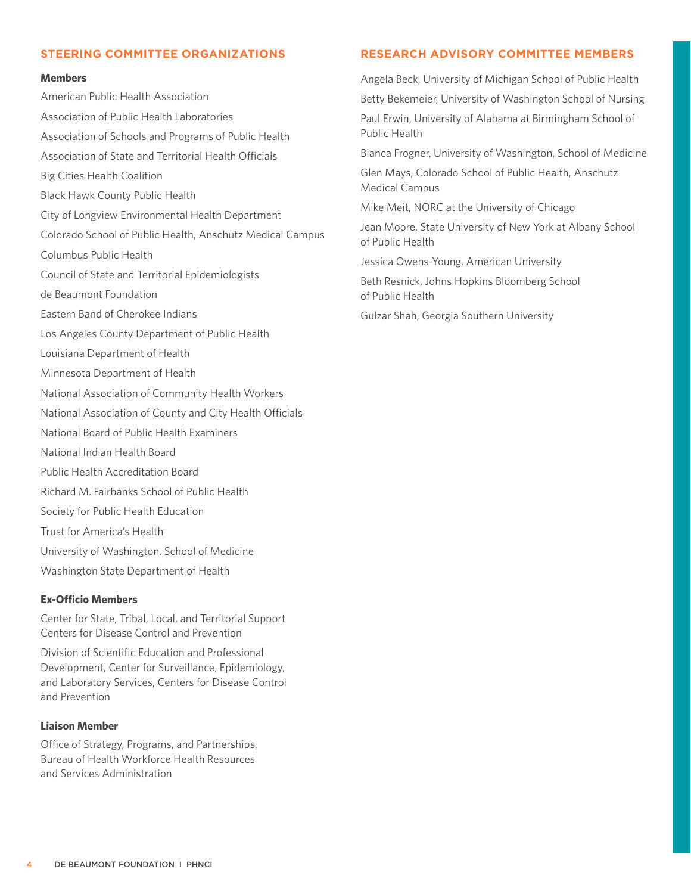#### **STEERING COMMITTEE ORGANIZATIONS**

#### **Members**

American Public Health Association Association of Public Health Laboratories Association of Schools and Programs of Public Health Association of State and Territorial Health Officials Big Cities Health Coalition Black Hawk County Public Health City of Longview Environmental Health Department Colorado School of Public Health, Anschutz Medical Campus Columbus Public Health Council of State and Territorial Epidemiologists de Beaumont Foundation Eastern Band of Cherokee Indians Los Angeles County Department of Public Health Louisiana Department of Health Minnesota Department of Health National Association of Community Health Workers National Association of County and City Health Officials National Board of Public Health Examiners National Indian Health Board Public Health Accreditation Board Richard M. Fairbanks School of Public Health Society for Public Health Education Trust for America's Health University of Washington, School of Medicine Washington State Department of Health

#### **Ex-Officio Members**

Center for State, Tribal, Local, and Territorial Support Centers for Disease Control and Prevention

Division of Scientific Education and Professional Development, Center for Surveillance, Epidemiology, and Laboratory Services, Centers for Disease Control and Prevention

# **Liaison Member**

Office of Strategy, Programs, and Partnerships, Bureau of Health Workforce Health Resources and Services Administration

#### **RESEARCH ADVISORY COMMITTEE MEMBERS**

Angela Beck, University of Michigan School of Public Health

Betty Bekemeier, University of Washington School of Nursing

Paul Erwin, University of Alabama at Birmingham School of Public Health

Bianca Frogner, University of Washington, School of Medicine

Glen Mays, Colorado School of Public Health, Anschutz Medical Campus

Mike Meit, NORC at the University of Chicago

Jean Moore, State University of New York at Albany School of Public Health

Jessica Owens-Young, American University

Beth Resnick, Johns Hopkins Bloomberg School of Public Health

Gulzar Shah, Georgia Southern University